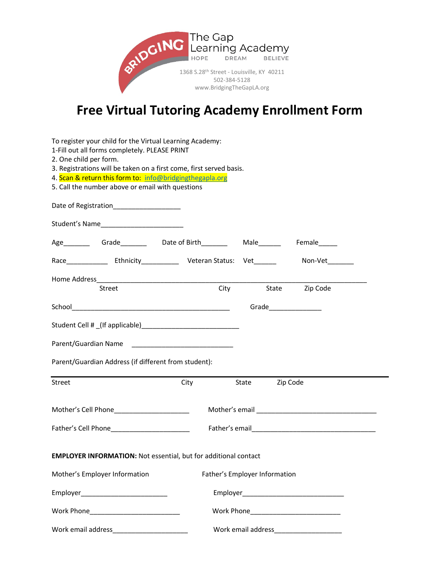

## **Free Virtual Tutoring Academy Enrollment Form**

| To register your child for the Virtual Learning Academy:                |                                                          |                                                                                                                                                                                                                         |                               |          |  |
|-------------------------------------------------------------------------|----------------------------------------------------------|-------------------------------------------------------------------------------------------------------------------------------------------------------------------------------------------------------------------------|-------------------------------|----------|--|
| 1-Fill out all forms completely. PLEASE PRINT<br>2. One child per form. |                                                          |                                                                                                                                                                                                                         |                               |          |  |
| 3. Registrations will be taken on a first come, first served basis.     |                                                          |                                                                                                                                                                                                                         |                               |          |  |
|                                                                         | 4. Scan & return this form to: info@bridgingthegapla.org |                                                                                                                                                                                                                         |                               |          |  |
|                                                                         | 5. Call the number above or email with questions         |                                                                                                                                                                                                                         |                               |          |  |
|                                                                         | Date of Registration____________________                 |                                                                                                                                                                                                                         |                               |          |  |
|                                                                         |                                                          |                                                                                                                                                                                                                         |                               |          |  |
|                                                                         |                                                          |                                                                                                                                                                                                                         |                               |          |  |
|                                                                         |                                                          | Race Face Face Face Contact Contact Line Contact Veteran Status: Vet Contact Contact Contact Contact Contact University Contact Contact Veteran Status: Vet Contact Contact Vet Contact Contact Vet Contact Contact Vet |                               |          |  |
| City State Zip Code<br>Street                                           |                                                          |                                                                                                                                                                                                                         |                               |          |  |
|                                                                         |                                                          |                                                                                                                                                                                                                         |                               |          |  |
|                                                                         |                                                          |                                                                                                                                                                                                                         |                               |          |  |
|                                                                         |                                                          |                                                                                                                                                                                                                         |                               |          |  |
|                                                                         |                                                          | Parent/Guardian Name<br><u> </u>                                                                                                                                                                                        |                               |          |  |
|                                                                         | Parent/Guardian Address (if different from student):     |                                                                                                                                                                                                                         |                               |          |  |
| Street                                                                  |                                                          | City                                                                                                                                                                                                                    | State                         | Zip Code |  |
| Mother's Cell Phone <b>Mother's</b> Cell Phone                          |                                                          |                                                                                                                                                                                                                         |                               |          |  |
|                                                                         |                                                          |                                                                                                                                                                                                                         |                               |          |  |
| <b>EMPLOYER INFORMATION: Not essential, but for additional contact</b>  |                                                          |                                                                                                                                                                                                                         |                               |          |  |
| Mother's Employer Information                                           |                                                          |                                                                                                                                                                                                                         | Father's Employer Information |          |  |
|                                                                         |                                                          |                                                                                                                                                                                                                         |                               |          |  |
|                                                                         |                                                          |                                                                                                                                                                                                                         |                               |          |  |
|                                                                         |                                                          |                                                                                                                                                                                                                         |                               |          |  |